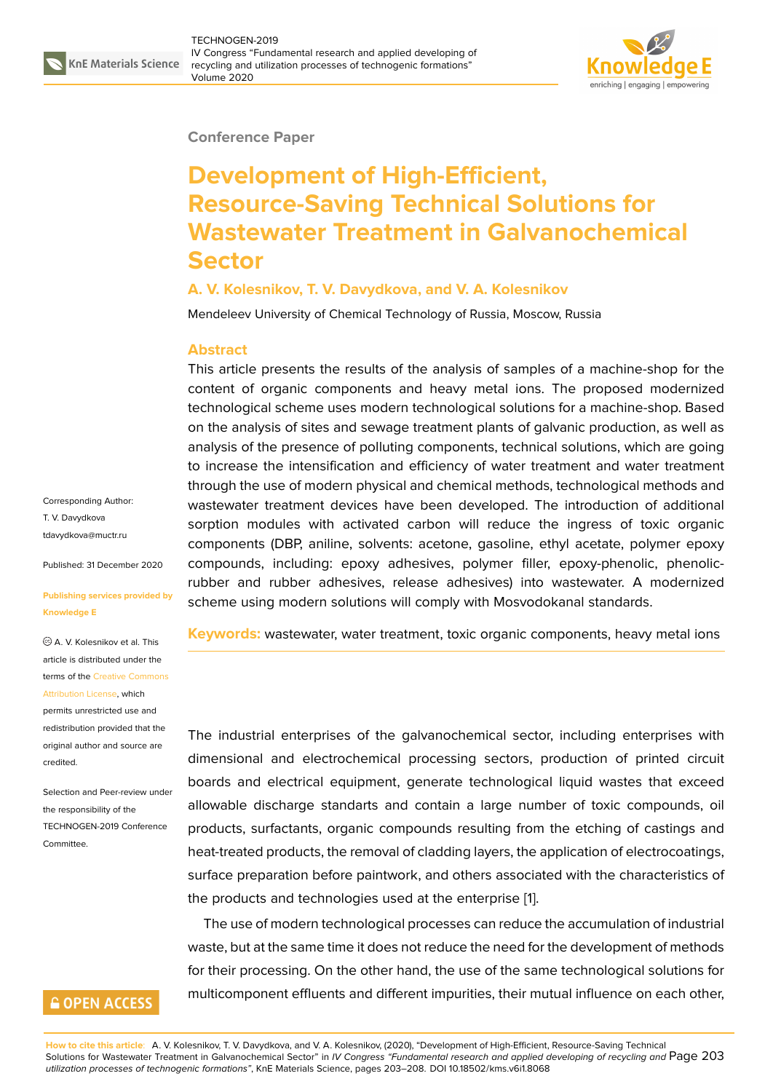#### **Conference Paper**

# **Development of High-Efficient, Resource-Saving Technical Solutions for Wastewater Treatment in Galvanochemical Sector**

## **A. V. Kolesnikov, T. V. Davydkova, and V. A. Kolesnikov**

Mendeleev University of Chemical Technology of Russia, Moscow, Russia

### **Abstract**

This article presents the results of the analysis of samples of a machine-shop for the content of organic components and heavy metal ions. The proposed modernized technological scheme uses modern technological solutions for a machine-shop. Based on the analysis of sites and sewage treatment plants of galvanic production, as well as analysis of the presence of polluting components, technical solutions, which are going to increase the intensification and efficiency of water treatment and water treatment through the use of modern physical and chemical methods, technological methods and wastewater treatment devices have been developed. The introduction of additional sorption modules with activated carbon will reduce the ingress of toxic organic components (DBP, aniline, solvents: acetone, gasoline, ethyl acetate, polymer epoxy compounds, including: epoxy adhesives, polymer filler, epoxy-phenolic, phenolicrubber and rubber adhesives, release adhesives) into wastewater. A modernized scheme using modern solutions will comply with Mosvodokanal standards.

**Keywords:** wastewater, water treatment, toxic organic components, heavy metal ions

The industrial enterprises of the galvanochemical sector, including enterprises with dimensional and electrochemical processing sectors, production of printed circuit boards and electrical equipment, generate technological liquid wastes that exceed allowable discharge standarts and contain a large number of toxic compounds, oil products, surfactants, organic compounds resulting from the etching of castings and heat-treated products, the removal of cladding layers, the application of electrocoatings, surface preparation before paintwork, and others associated with the characteristics of the products and technologies used at the enterprise [1].

The use of modern technological processes can reduce the accumulation of industrial waste, but at the same time it does not reduce the need for the development of methods for their processing. On the other hand, the use of the [sa](#page-5-0)me technological solutions for multicomponent effluents and different impurities, their mutual influence on each other,

Corresponding Author: T. V. Davydkova tdavydkova@muctr.ru

Published: 31 December 2020

#### **[Publishing services p](mailto:tdavydkova@muctr.ru)rovided by Knowledge E**

A. V. Kolesnikov et al. This article is distributed under the terms of the Creative Commons Attribution License, which

permits unrestricted use and redistribution provided that the original auth[or and source are](https://creativecommons.org/licenses/by/4.0/) [credited.](https://creativecommons.org/licenses/by/4.0/)

Selection and Peer-review under the responsibility of the TECHNOGEN-2019 Conference Committee.

## **GOPEN ACCESS**

**How to cite this article**: A. V. Kolesnikov, T. V. Davydkova, and V. A. Kolesnikov, (2020), "Development of High-Efficient, Resource-Saving Technical Solutions for Wastewater Treatment in Galvanochemical Sector" in *IV Congress "Fundamental research and applied developing of recycling and* Page 203 *utilization processes of technogenic formations"*, KnE Materials Science, pages 203–208. DOI 10.18502/kms.v6i1.8068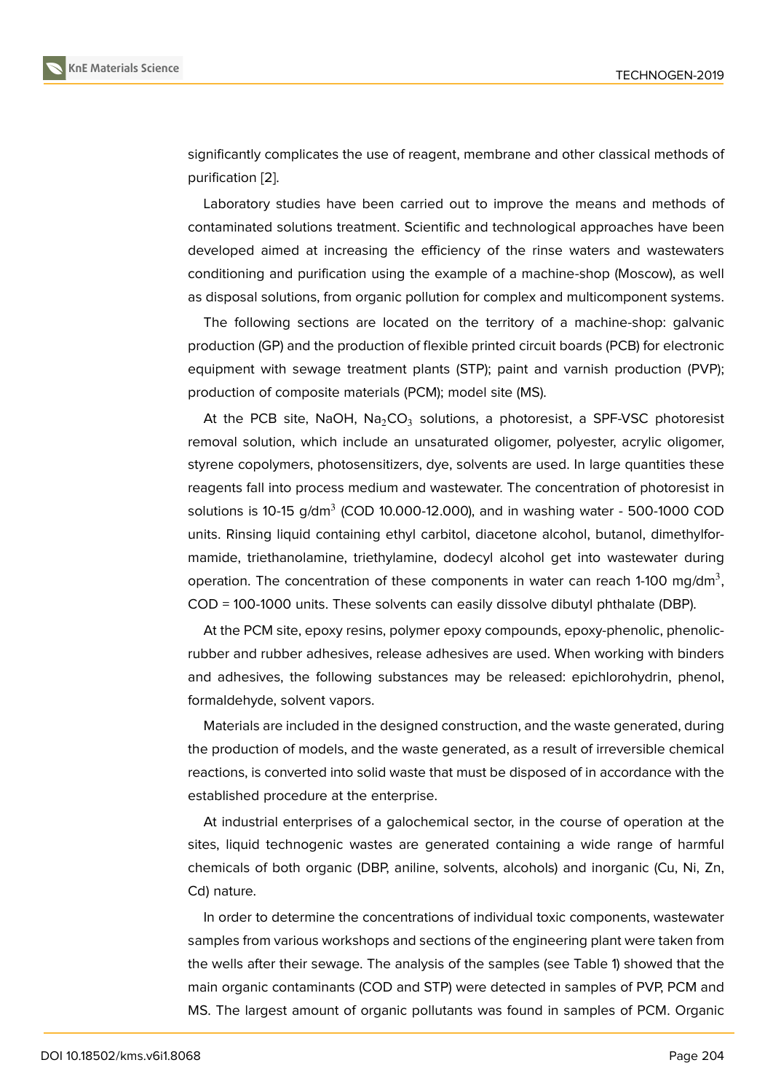significantly complicates the use of reagent, membrane and other classical methods of purification [2].

Laboratory studies have been carried out to improve the means and methods of contaminated solutions treatment. Scientific and technological approaches have been developed [aim](#page-5-1)ed at increasing the efficiency of the rinse waters and wastewaters conditioning and purification using the example of a machine-shop (Moscow), as well as disposal solutions, from organic pollution for complex and multicomponent systems.

The following sections are located on the territory of a machine-shop: galvanic production (GP) and the production of flexible printed circuit boards (PCB) for electronic equipment with sewage treatment plants (STP); paint and varnish production (PVP); production of composite materials (PCM); model site (MS).

At the PCB site, NaOH, Na $_2$ CO $_3$  solutions, a photoresist, a SPF-VSC photoresist removal solution, which include an unsaturated oligomer, polyester, acrylic oligomer, styrene copolymers, photosensitizers, dye, solvents are used. In large quantities these reagents fall into process medium and wastewater. The concentration of photoresist in solutions is 10-15 g/dm $^3$  (COD 10.000-12.000), and in washing water - 500-1000 COD units. Rinsing liquid containing ethyl carbitol, diacetone alcohol, butanol, dimethylformamide, triethanolamine, triethylamine, dodecyl alcohol get into wastewater during operation. The concentration of these components in water can reach 1-100 mg/dm<sup>3</sup>, COD = 100-1000 units. These solvents can easily dissolve dibutyl phthalate (DBP).

At the PCM site, epoxy resins, polymer epoxy compounds, epoxy-phenolic, phenolicrubber and rubber adhesives, release adhesives are used. When working with binders and adhesives, the following substances may be released: epichlorohydrin, phenol, formaldehyde, solvent vapors.

Materials are included in the designed construction, and the waste generated, during the production of models, and the waste generated, as a result of irreversible chemical reactions, is converted into solid waste that must be disposed of in accordance with the established procedure at the enterprise.

At industrial enterprises of a galochemical sector, in the course of operation at the sites, liquid technogenic wastes are generated containing a wide range of harmful chemicals of both organic (DBP, aniline, solvents, alcohols) and inorganic (Cu, Ni, Zn, Cd) nature.

In order to determine the concentrations of individual toxic components, wastewater samples from various workshops and sections of the engineering plant were taken from the wells after their sewage. The analysis of the samples (see Table 1) showed that the main organic contaminants (COD and STP) were detected in samples of PVP, PCM and MS. The largest amount of organic pollutants was found in samples of PCM. Organic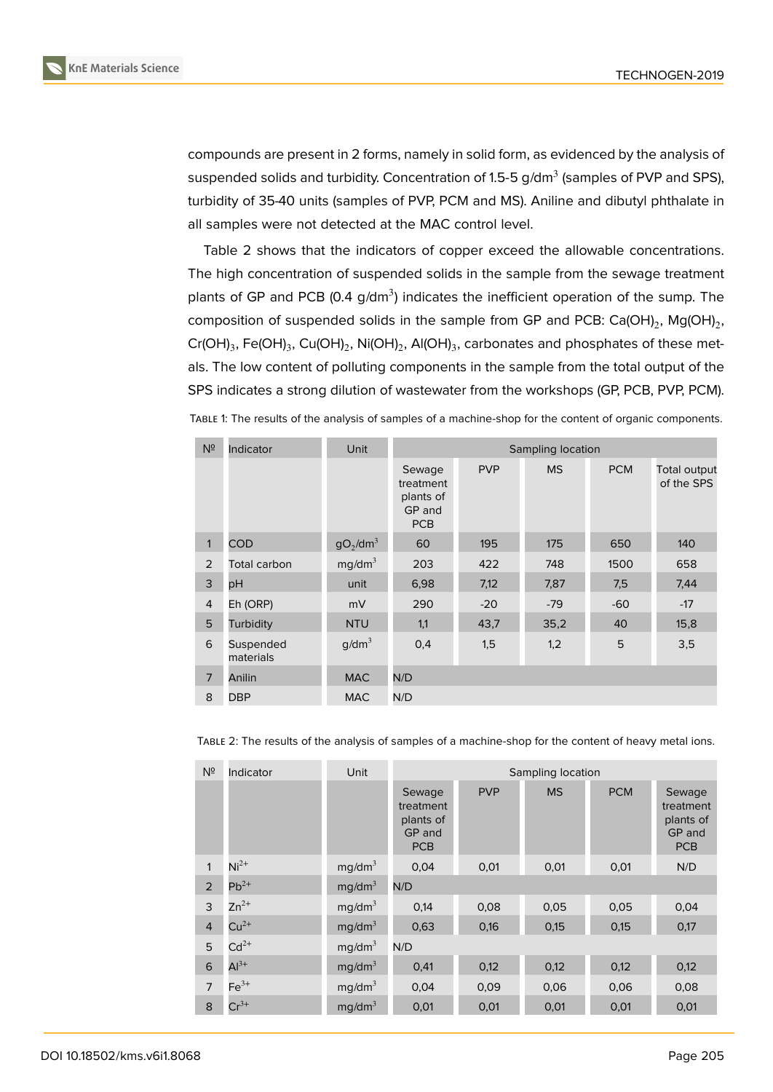

compounds are present in 2 forms, namely in solid form, as evidenced by the analysis of suspended solids and turbidity. Concentration of 1.5-5 g/dm $^3$  (samples of PVP and SPS), turbidity of 35-40 units (samples of PVP, PCM and MS). Aniline and dibutyl phthalate in all samples were not detected at the MAC control level.

Table 2 shows that the indicators of copper exceed the allowable concentrations. The high concentration of suspended solids in the sample from the sewage treatment plants of GP and PCB (0.4 g/dm<sup>3</sup>) indicates the inefficient operation of the sump. The composition of suspended solids in the sample from GP and PCB: Ca(OH)<sub>2</sub>, Mg(OH)<sub>2</sub>, Cr(OH) $_3$ , Fe(OH) $_3$ , Cu(OH) $_2$ , Ni(OH) $_2$ , Al(OH) $_3$ , carbonates and phosphates of these metals. The low content of polluting components in the sample from the total output of the SPS indicates a strong dilution of wastewater from the workshops (GP, PCB, PVP, PCM).

| TABLE 1: The results of the analysis of samples of a machine-shop for the content of organic components. |  |  |
|----------------------------------------------------------------------------------------------------------|--|--|
|----------------------------------------------------------------------------------------------------------|--|--|

| $N^{\circ}$    | Indicator              | Unit                             | Sampling location                                        |            |           |            |                            |
|----------------|------------------------|----------------------------------|----------------------------------------------------------|------------|-----------|------------|----------------------------|
|                |                        |                                  | Sewage<br>treatment<br>plants of<br>GP and<br><b>PCB</b> | <b>PVP</b> | <b>MS</b> | <b>PCM</b> | Total output<br>of the SPS |
| $\mathbf{1}$   | <b>COD</b>             | qO <sub>2</sub> /dm <sup>3</sup> | 60                                                       | 195        | 175       | 650        | 140                        |
| 2              | Total carbon           | mg/dm <sup>3</sup>               | 203                                                      | 422        | 748       | 1500       | 658                        |
| 3              | pH                     | unit                             | 6,98                                                     | 7,12       | 7,87      | 7,5        | 7,44                       |
| $\overline{4}$ | Eh (ORP)               | mV                               | 290                                                      | $-20$      | $-79$     | $-60$      | $-17$                      |
| 5              | Turbidity              | <b>NTU</b>                       | 1,1                                                      | 43,7       | 35,2      | 40         | 15,8                       |
| 6              | Suspended<br>materials | g/dm <sup>3</sup>                | 0,4                                                      | 1,5        | 1,2       | 5          | 3,5                        |
| 7              | Anilin                 | <b>MAC</b>                       | N/D                                                      |            |           |            |                            |
| 8              | <b>DBP</b>             | <b>MAC</b>                       | N/D                                                      |            |           |            |                            |

| N <sup>2</sup> | Indicator | Unit               | Sampling location                                        |            |           |            |                                                          |
|----------------|-----------|--------------------|----------------------------------------------------------|------------|-----------|------------|----------------------------------------------------------|
|                |           |                    | Sewage<br>treatment<br>plants of<br>GP and<br><b>PCB</b> | <b>PVP</b> | <b>MS</b> | <b>PCM</b> | Sewage<br>treatment<br>plants of<br>GP and<br><b>PCB</b> |
| 1              | $Ni2+$    | mg/dm <sup>3</sup> | 0,04                                                     | 0,01       | 0,01      | 0,01       | N/D                                                      |
| 2              | $Pb^{2+}$ | mg/dm <sup>3</sup> | N/D                                                      |            |           |            |                                                          |
| 3              | $Zn^{2+}$ | mg/dm <sup>3</sup> | 0,14                                                     | 0,08       | 0,05      | 0,05       | 0,04                                                     |
| $\overline{4}$ | $Cu2+$    | mg/dm <sup>3</sup> | 0,63                                                     | 0,16       | 0,15      | 0,15       | 0,17                                                     |
| 5              | $Cd^{2+}$ | mg/dm <sup>3</sup> | N/D                                                      |            |           |            |                                                          |
| 6              | $Al3+$    | mg/dm <sup>3</sup> | 0,41                                                     | 0,12       | 0,12      | 0,12       | 0,12                                                     |
| $\overline{7}$ | $Fe3+$    | mg/dm <sup>3</sup> | 0,04                                                     | 0,09       | 0,06      | 0,06       | 0,08                                                     |
| 8              | $Cr^{3+}$ | mg/dm <sup>3</sup> | 0,01                                                     | 0,01       | 0,01      | 0,01       | 0,01                                                     |

TABLE 2: The results of the analysis of samples of a machine-shop for the content of heavy metal ions.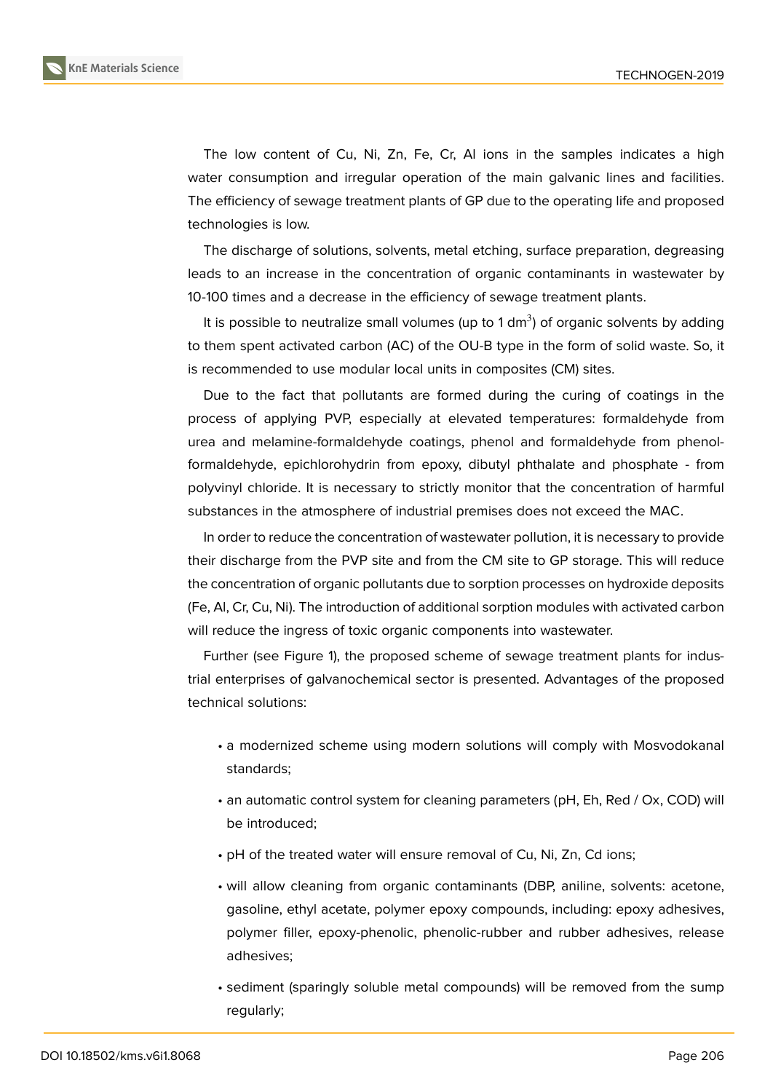The low content of Cu, Ni, Zn, Fe, Cr, Al ions in the samples indicates a high water consumption and irregular operation of the main galvanic lines and facilities. The efficiency of sewage treatment plants of GP due to the operating life and proposed technologies is low.

The discharge of solutions, solvents, metal etching, surface preparation, degreasing leads to an increase in the concentration of organic contaminants in wastewater by 10-100 times and a decrease in the efficiency of sewage treatment plants.

It is possible to neutralize small volumes (up to 1 dm<sup>3</sup>) of organic solvents by adding to them spent activated carbon (AC) of the OU-B type in the form of solid waste. So, it is recommended to use modular local units in composites (CM) sites.

Due to the fact that pollutants are formed during the curing of coatings in the process of applying PVP, especially at elevated temperatures: formaldehyde from urea and melamine-formaldehyde coatings, phenol and formaldehyde from phenolformaldehyde, epichlorohydrin from epoxy, dibutyl phthalate and phosphate - from polyvinyl chloride. It is necessary to strictly monitor that the concentration of harmful substances in the atmosphere of industrial premises does not exceed the MAC.

In order to reduce the concentration of wastewater pollution, it is necessary to provide their discharge from the PVP site and from the CM site to GP storage. This will reduce the concentration of organic pollutants due to sorption processes on hydroxide deposits (Fe, Al, Cr, Cu, Ni). The introduction of additional sorption modules with activated carbon will reduce the ingress of toxic organic components into wastewater.

Further (see Figure 1), the proposed scheme of sewage treatment plants for industrial enterprises of galvanochemical sector is presented. Advantages of the proposed technical solutions:

- a modernized scheme using modern solutions will comply with Mosvodokanal standards;
- an automatic control system for cleaning parameters (pH, Eh, Red / Ox, COD) will be introduced;
- pH of the treated water will ensure removal of Cu, Ni, Zn, Cd ions;
- will allow cleaning from organic contaminants (DBP, aniline, solvents: acetone, gasoline, ethyl acetate, polymer epoxy compounds, including: epoxy adhesives, polymer filler, epoxy-phenolic, phenolic-rubber and rubber adhesives, release adhesives;
- sediment (sparingly soluble metal compounds) will be removed from the sump regularly;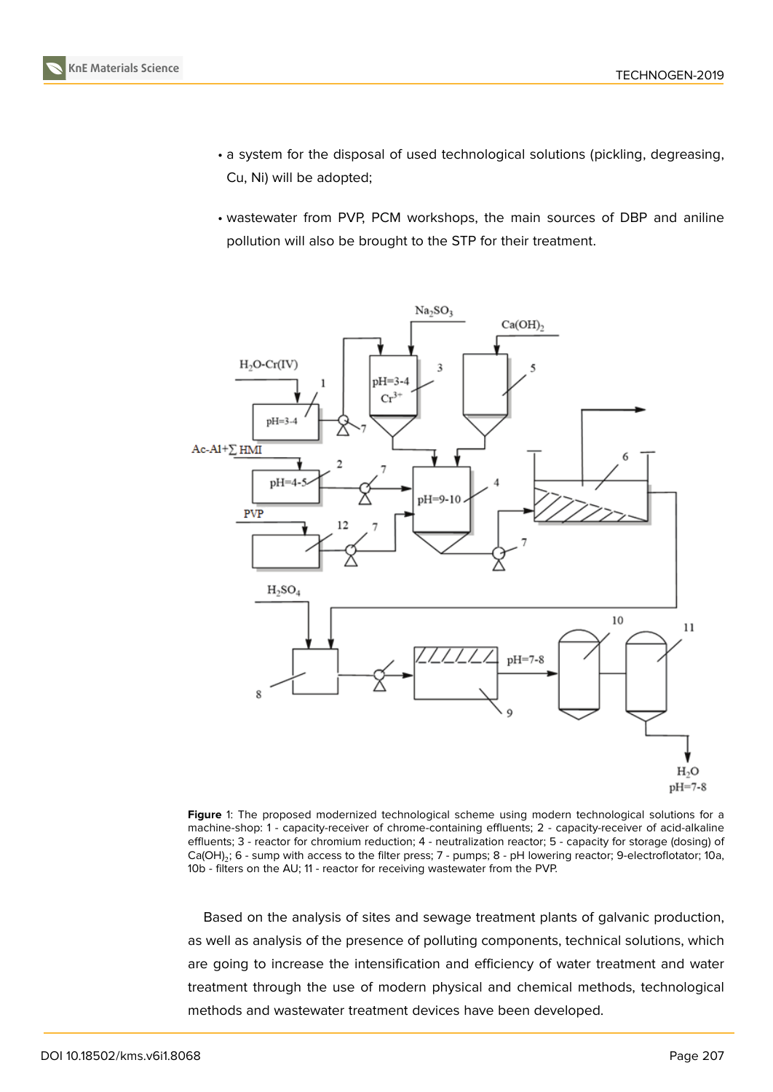

- a system for the disposal of used technological solutions (pickling, degreasing, Cu, Ni) will be adopted;
- wastewater from PVP, PCM workshops, the main sources of DBP and aniline pollution will also be brought to the STP for their treatment.



**Figure** 1: The proposed modernized technological scheme using modern technological solutions for a machine-shop: 1 - capacity-receiver of chrome-containing effluents; 2 - capacity-receiver of acid-alkaline effluents; 3 - reactor for chromium reduction; 4 - neutralization reactor; 5 - capacity for storage (dosing) of Ca(OH) $_2$ ; 6 - sump with access to the filter press; 7 - pumps; 8 - pH lowering reactor; 9-electroflotator; 10a, 10b - filters on the AU; 11 - reactor for receiving wastewater from the PVP.

Based on the analysis of sites and sewage treatment plants of galvanic production, as well as analysis of the presence of polluting components, technical solutions, which are going to increase the intensification and efficiency of water treatment and water treatment through the use of modern physical and chemical methods, technological methods and wastewater treatment devices have been developed.